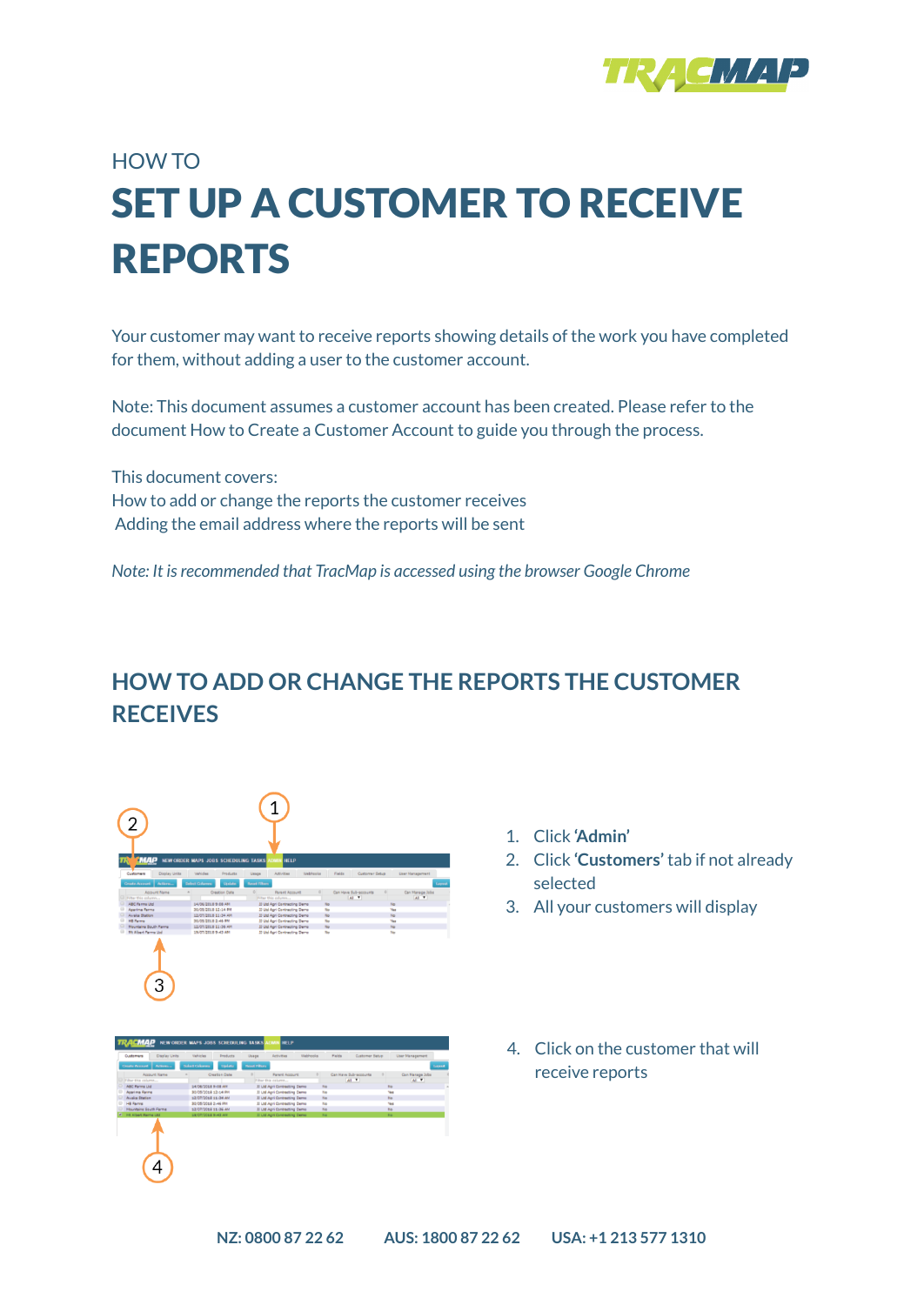

## HOW TO SET UP A CUSTOMER TO RECEIVE REPORTS

Your customer may want to receive reports showing details of the work you have completed for them, without adding a user to the customer account.

Note: This document assumes a customer account has been created. Please refer to the document How to Create a Customer Account to guide you through the process.

This document covers: How to add or change the reports the customer receives Adding the email address where the reports will be sent

*Note: It isrecommended that TracMap is accessed using the browser Google Chrome*

## **HOW TO ADD OR CHANGE THE REPORTS THE CUSTOMER RECEIVES**



| Darkato<br><b>Baset Filters</b><br><b>Dake of Columns</b><br>Lineart<br>Can Have Subraccounts<br>Can Manage Jobs<br><b>Creation Date</b><br><b>Barant Account</b><br>$\frac{1}{2}$<br>ALL TO<br>48.99<br>Fiber this column<br>33 Ltd Agri Contracting Demo:<br>14/06/2018 9:08 AN<br><b>No</b><br>No<br>33 Ltd Agri Contracting Demo<br><b>Na</b><br>Yes<br>30/05/2018 12:14 PM<br>No<br>No<br>12/07/2018 11:34 AM<br>33 Ltd Agri Contracting Demo<br>Na<br>Vas<br>30/05/2018 2:46 PM<br>33 Ltd Agri Contracting Demo<br>Na<br>Na<br>12/07/2018 11:36 AM<br>33 Ltd Agri Contracting Demo<br>19/07/2018 9:43 AM<br>33 Ltd Agri Contracting Demo<br>No.<br><b>No.</b> | Actions<br><b>Create Account</b><br>Account Name:<br>U Fiber this column<br>ABC Farms Ltd.<br><b>Apartma Farms</b><br>Augús Station<br><b>HB Farms</b><br><b>Mountains South Farms</b><br><b>Hit Albert Farms Ltd.</b> | Customers<br>Display Units | Vehicles | <b>Droducts</b><br>Usage | Activities | Webhooler | <b>Fields</b><br>Customer Setup | User Management |  |
|---------------------------------------------------------------------------------------------------------------------------------------------------------------------------------------------------------------------------------------------------------------------------------------------------------------------------------------------------------------------------------------------------------------------------------------------------------------------------------------------------------------------------------------------------------------------------------------------------------------------------------------------------------------------|------------------------------------------------------------------------------------------------------------------------------------------------------------------------------------------------------------------------|----------------------------|----------|--------------------------|------------|-----------|---------------------------------|-----------------|--|
|                                                                                                                                                                                                                                                                                                                                                                                                                                                                                                                                                                                                                                                                     |                                                                                                                                                                                                                        |                            |          |                          |            |           |                                 |                 |  |
|                                                                                                                                                                                                                                                                                                                                                                                                                                                                                                                                                                                                                                                                     |                                                                                                                                                                                                                        |                            |          |                          |            |           |                                 |                 |  |
|                                                                                                                                                                                                                                                                                                                                                                                                                                                                                                                                                                                                                                                                     |                                                                                                                                                                                                                        |                            |          |                          |            |           |                                 |                 |  |
|                                                                                                                                                                                                                                                                                                                                                                                                                                                                                                                                                                                                                                                                     |                                                                                                                                                                                                                        |                            |          |                          |            |           |                                 |                 |  |
|                                                                                                                                                                                                                                                                                                                                                                                                                                                                                                                                                                                                                                                                     |                                                                                                                                                                                                                        |                            |          |                          |            |           |                                 |                 |  |
|                                                                                                                                                                                                                                                                                                                                                                                                                                                                                                                                                                                                                                                                     |                                                                                                                                                                                                                        |                            |          |                          |            |           |                                 |                 |  |
|                                                                                                                                                                                                                                                                                                                                                                                                                                                                                                                                                                                                                                                                     |                                                                                                                                                                                                                        |                            |          |                          |            |           |                                 |                 |  |
|                                                                                                                                                                                                                                                                                                                                                                                                                                                                                                                                                                                                                                                                     |                                                                                                                                                                                                                        |                            |          |                          |            |           |                                 |                 |  |
|                                                                                                                                                                                                                                                                                                                                                                                                                                                                                                                                                                                                                                                                     |                                                                                                                                                                                                                        |                            |          |                          |            |           |                                 |                 |  |
|                                                                                                                                                                                                                                                                                                                                                                                                                                                                                                                                                                                                                                                                     |                                                                                                                                                                                                                        |                            |          |                          |            |           |                                 |                 |  |
|                                                                                                                                                                                                                                                                                                                                                                                                                                                                                                                                                                                                                                                                     |                                                                                                                                                                                                                        |                            |          |                          |            |           |                                 |                 |  |
|                                                                                                                                                                                                                                                                                                                                                                                                                                                                                                                                                                                                                                                                     |                                                                                                                                                                                                                        |                            |          |                          |            |           |                                 |                 |  |
|                                                                                                                                                                                                                                                                                                                                                                                                                                                                                                                                                                                                                                                                     |                                                                                                                                                                                                                        |                            |          |                          |            |           |                                 |                 |  |

- 1. Click **'Admin'**
- 2. Click **'Customers'** tab if not already selected
- 3. All your customers will display
- 4. Click on the customer that will receive reports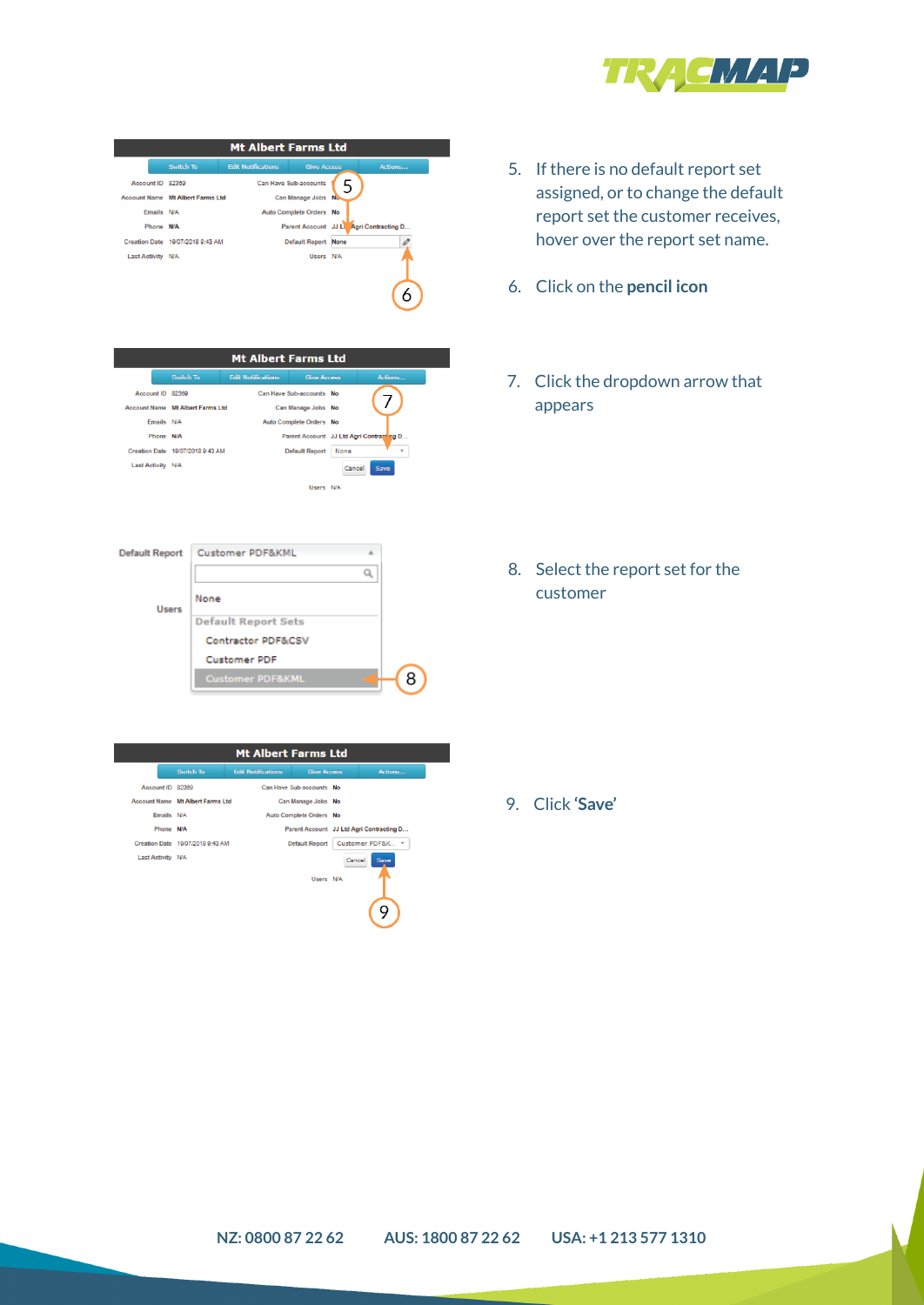

- 5. If there is no default report set assigned, or to change the default report set the customer receives, hover over the report set name.
- 6. Click on the **pencil icon**
- 7. Click the dropdown arrow that appears

8. Select the report set for the customer

9. Click **'Save'**

Mt Albert Farms Ltd **Switch To Edit Notificati** Can Have Sub-accounts<br>Can Manage Jobs Account ID 82369 Account Name Mt Albert Farms Ltd Emails N/A Auto Complete Orders No Phone N/A Parent Account JJ La Agri Contracting D... Creation Date 19/07/2018 9:43 AM Default Report None Last Activity N/A Users N/A 6